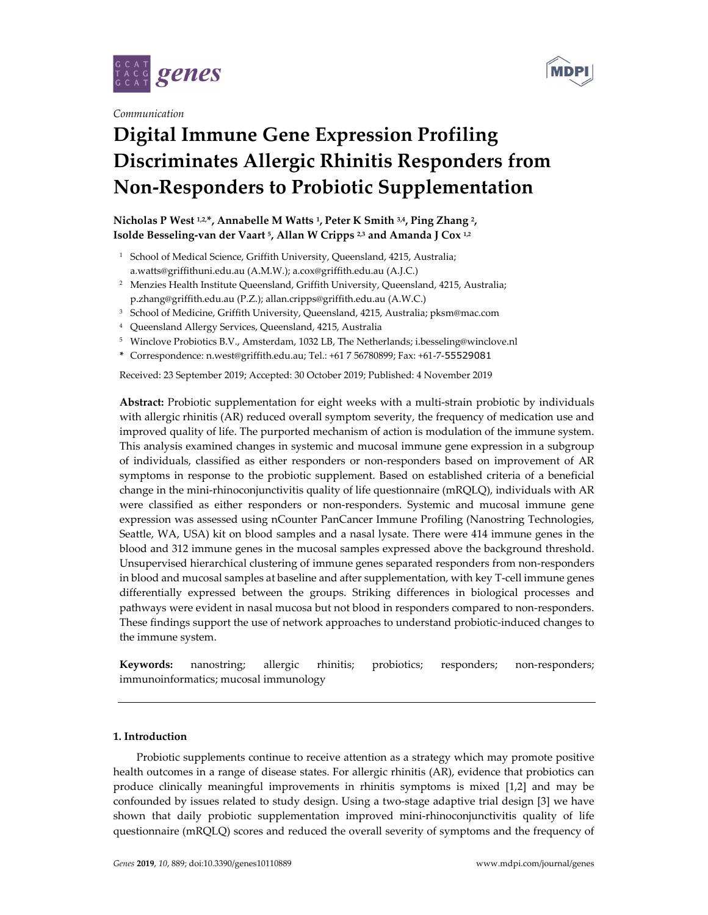



*Communication* 

# **Digital Immune Gene Expression Profiling Discriminates Allergic Rhinitis Responders from Non-Responders to Probiotic Supplementation**

# **Nicholas P West 1,2,\*, Annabelle M Watts 1, Peter K Smith 3,4, Ping Zhang 2, Isolde Besseling-van der Vaart 5, Allan W Cripps 2,3 and Amanda J Cox 1,2**

- <sup>1</sup> School of Medical Science, Griffith University, Queensland, 4215, Australia; a.watts@griffithuni.edu.au (A.M.W.); a.cox@griffith.edu.au (A.J.C.)
- 2 Menzies Health Institute Queensland, Griffith University, Queensland, 4215, Australia; p.zhang@griffith.edu.au (P.Z.); allan.cripps@griffith.edu.au (A.W.C.)
- 3 School of Medicine, Griffith University, Queensland, 4215, Australia; pksm@mac.com
- 4 Queensland Allergy Services, Queensland, 4215, Australia
- 5 Winclove Probiotics B.V., Amsterdam, 1032 LB, The Netherlands; i.besseling@winclove.nl
- **\*** Correspondence: n.west@griffith.edu.au; Tel.: +61 7 56780899; Fax: +61-7-55529081

Received: 23 September 2019; Accepted: 30 October 2019; Published: 4 November 2019

**Abstract:** Probiotic supplementation for eight weeks with a multi-strain probiotic by individuals with allergic rhinitis (AR) reduced overall symptom severity, the frequency of medication use and improved quality of life. The purported mechanism of action is modulation of the immune system. This analysis examined changes in systemic and mucosal immune gene expression in a subgroup of individuals, classified as either responders or non-responders based on improvement of AR symptoms in response to the probiotic supplement. Based on established criteria of a beneficial change in the mini-rhinoconjunctivitis quality of life questionnaire (mRQLQ), individuals with AR were classified as either responders or non-responders. Systemic and mucosal immune gene expression was assessed using nCounter PanCancer Immune Profiling (Nanostring Technologies, Seattle, WA, USA) kit on blood samples and a nasal lysate. There were 414 immune genes in the blood and 312 immune genes in the mucosal samples expressed above the background threshold. Unsupervised hierarchical clustering of immune genes separated responders from non-responders in blood and mucosal samples at baseline and after supplementation, with key T-cell immune genes differentially expressed between the groups. Striking differences in biological processes and pathways were evident in nasal mucosa but not blood in responders compared to non-responders. These findings support the use of network approaches to understand probiotic-induced changes to the immune system.

**Keywords:** nanostring; allergic rhinitis; probiotics; responders; non-responders; immunoinformatics; mucosal immunology

# **1. Introduction**

Probiotic supplements continue to receive attention as a strategy which may promote positive health outcomes in a range of disease states. For allergic rhinitis (AR), evidence that probiotics can produce clinically meaningful improvements in rhinitis symptoms is mixed [1,2] and may be confounded by issues related to study design. Using a two-stage adaptive trial design [3] we have shown that daily probiotic supplementation improved mini-rhinoconjunctivitis quality of life questionnaire (mRQLQ) scores and reduced the overall severity of symptoms and the frequency of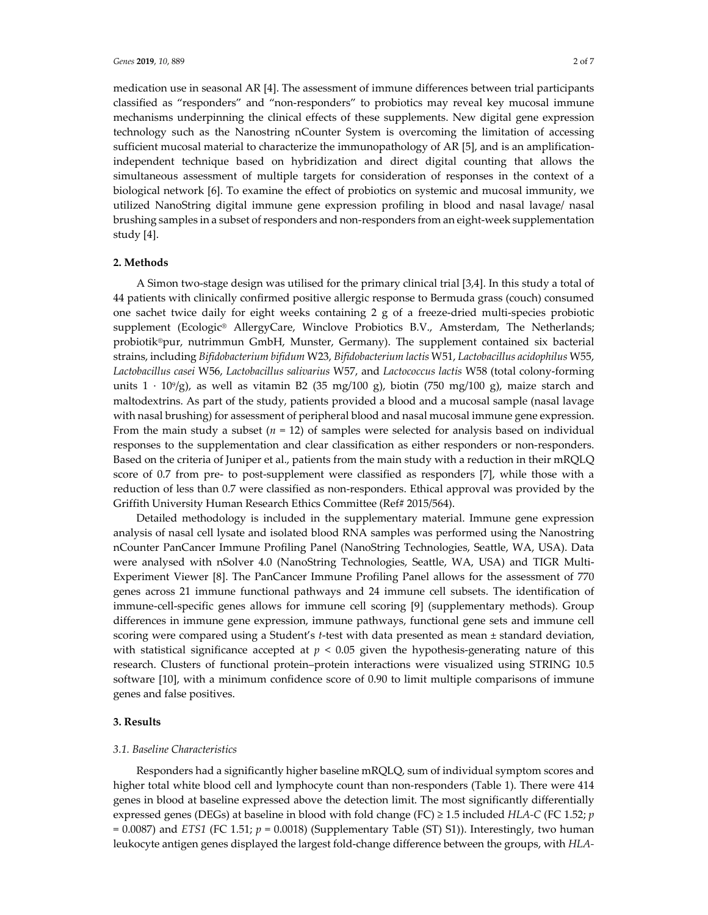medication use in seasonal AR [4]. The assessment of immune differences between trial participants classified as "responders" and "non-responders" to probiotics may reveal key mucosal immune mechanisms underpinning the clinical effects of these supplements. New digital gene expression technology such as the Nanostring nCounter System is overcoming the limitation of accessing sufficient mucosal material to characterize the immunopathology of AR [5], and is an amplificationindependent technique based on hybridization and direct digital counting that allows the simultaneous assessment of multiple targets for consideration of responses in the context of a biological network [6]. To examine the effect of probiotics on systemic and mucosal immunity, we utilized NanoString digital immune gene expression profiling in blood and nasal lavage/ nasal brushing samples in a subset of responders and non-responders from an eight-week supplementation study [4].

## **2. Methods**

A Simon two-stage design was utilised for the primary clinical trial [3,4]. In this study a total of 44 patients with clinically confirmed positive allergic response to Bermuda grass (couch) consumed one sachet twice daily for eight weeks containing 2 g of a freeze-dried multi-species probiotic supplement (Ecologic® AllergyCare, Winclove Probiotics B.V., Amsterdam, The Netherlands; probiotik®pur, nutrimmun GmbH, Munster, Germany). The supplement contained six bacterial strains, including *Bifidobacterium bifidum* W23, *Bifidobacterium lactis* W51, *Lactobacillus acidophilus* W55, *Lactobacillus casei* W56, *Lactobacillus salivarius* W57, and *Lactococcus lactis* W58 (total colony-forming units  $1 \cdot 10^{9}/g$ ), as well as vitamin B2 (35 mg/100 g), biotin (750 mg/100 g), maize starch and maltodextrins. As part of the study, patients provided a blood and a mucosal sample (nasal lavage with nasal brushing) for assessment of peripheral blood and nasal mucosal immune gene expression. From the main study a subset  $(n = 12)$  of samples were selected for analysis based on individual responses to the supplementation and clear classification as either responders or non-responders. Based on the criteria of Juniper et al., patients from the main study with a reduction in their mRQLQ score of 0.7 from pre- to post-supplement were classified as responders [7], while those with a reduction of less than 0.7 were classified as non-responders. Ethical approval was provided by the Griffith University Human Research Ethics Committee (Ref# 2015/564).

Detailed methodology is included in the supplementary material. Immune gene expression analysis of nasal cell lysate and isolated blood RNA samples was performed using the Nanostring nCounter PanCancer Immune Profiling Panel (NanoString Technologies, Seattle, WA, USA). Data were analysed with nSolver 4.0 (NanoString Technologies, Seattle, WA, USA) and TIGR Multi-Experiment Viewer [8]. The PanCancer Immune Profiling Panel allows for the assessment of 770 genes across 21 immune functional pathways and 24 immune cell subsets. The identification of immune-cell-specific genes allows for immune cell scoring [9] (supplementary methods). Group differences in immune gene expression, immune pathways, functional gene sets and immune cell scoring were compared using a Student's *t*-test with data presented as mean ± standard deviation, with statistical significance accepted at  $p < 0.05$  given the hypothesis-generating nature of this research. Clusters of functional protein–protein interactions were visualized using STRING 10.5 software [10], with a minimum confidence score of 0.90 to limit multiple comparisons of immune genes and false positives.

#### **3. Results**

#### *3.1. Baseline Characteristics*

Responders had a significantly higher baseline mRQLQ, sum of individual symptom scores and higher total white blood cell and lymphocyte count than non-responders (Table 1). There were 414 genes in blood at baseline expressed above the detection limit. The most significantly differentially expressed genes (DEGs) at baseline in blood with fold change (FC) ≥ 1.5 included *HLA-C* (FC 1.52; *p*  $= 0.0087$ ) and *ETS1* (FC 1.51;  $p = 0.0018$ ) (Supplementary Table (ST) S1)). Interestingly, two human leukocyte antigen genes displayed the largest fold-change difference between the groups, with *HLA-*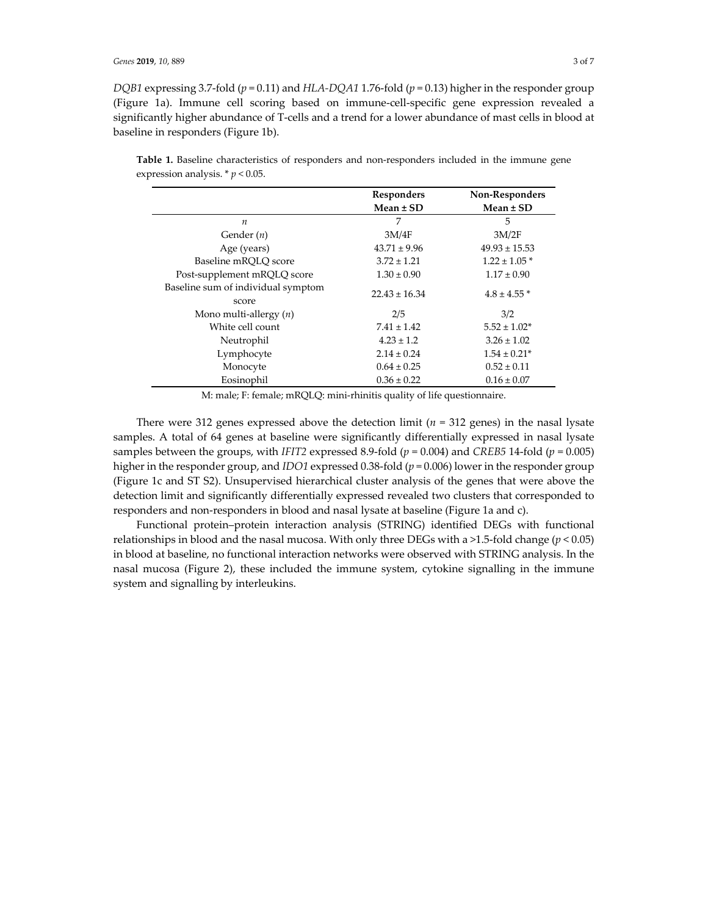*DQB1* expressing 3.7-fold (*p* = 0.11) and *HLA-DQA1* 1.76-fold (*p* = 0.13) higher in the responder group (Figure 1a). Immune cell scoring based on immune-cell-specific gene expression revealed a significantly higher abundance of T-cells and a trend for a lower abundance of mast cells in blood at baseline in responders (Figure 1b).

|                                             | Responders        | Non-Responders    |
|---------------------------------------------|-------------------|-------------------|
|                                             | $Mean \pm SD$     | Mean $\pm$ SD     |
| $\boldsymbol{n}$                            | 7                 | 5                 |
| Gender $(n)$                                | 3M/4F             | 3M/2F             |
| Age (years)                                 | $43.71 \pm 9.96$  | $49.93 \pm 15.53$ |
| Baseline mROLO score                        | $3.72 \pm 1.21$   | $1.22 \pm 1.05$ * |
| Post-supplement mRQLQ score                 | $1.30 \pm 0.90$   | $1.17 \pm 0.90$   |
| Baseline sum of individual symptom<br>score | $22.43 \pm 16.34$ | $4.8 \pm 4.55$ *  |
| Mono multi-allergy $(n)$                    | 2/5               | 3/2               |
| White cell count                            | $7.41 \pm 1.42$   | $5.52 \pm 1.02*$  |
| Neutrophil                                  | $4.23 \pm 1.2$    | $3.26 \pm 1.02$   |
| Lymphocyte                                  | $2.14 \pm 0.24$   | $1.54 \pm 0.21*$  |
| Monocyte                                    | $0.64 \pm 0.25$   | $0.52 \pm 0.11$   |
| Eosinophil                                  | $0.36 \pm 0.22$   | $0.16 \pm 0.07$   |

**Table 1.** Baseline characteristics of responders and non-responders included in the immune gene expression analysis.  $*$   $p$  < 0.05.

M: male; F: female; mRQLQ: mini-rhinitis quality of life questionnaire.

There were 312 genes expressed above the detection limit (*n* = 312 genes) in the nasal lysate samples. A total of 64 genes at baseline were significantly differentially expressed in nasal lysate samples between the groups, with *IFIT2* expressed 8.9-fold ( $p = 0.004$ ) and *CREB5* 14-fold ( $p = 0.005$ ) higher in the responder group, and *IDO1* expressed 0.38-fold (*p* = 0.006) lower in the responder group (Figure 1c and ST S2). Unsupervised hierarchical cluster analysis of the genes that were above the detection limit and significantly differentially expressed revealed two clusters that corresponded to responders and non-responders in blood and nasal lysate at baseline (Figure 1a and c).

Functional protein–protein interaction analysis (STRING) identified DEGs with functional relationships in blood and the nasal mucosa. With only three DEGs with a >1.5-fold change (*p* < 0.05) in blood at baseline, no functional interaction networks were observed with STRING analysis. In the nasal mucosa (Figure 2), these included the immune system, cytokine signalling in the immune system and signalling by interleukins.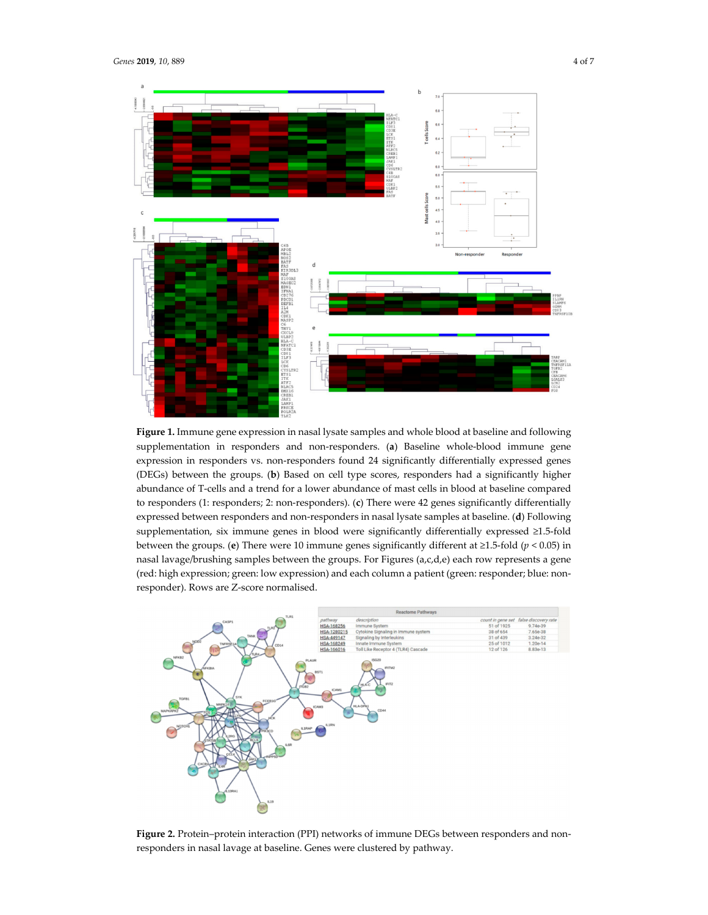

**Figure 1.** Immune gene expression in nasal lysate samples and whole blood at baseline and following supplementation in responders and non-responders. (**a**) Baseline whole-blood immune gene expression in responders vs. non-responders found 24 significantly differentially expressed genes (DEGs) between the groups. (**b**) Based on cell type scores, responders had a significantly higher abundance of T-cells and a trend for a lower abundance of mast cells in blood at baseline compared to responders (1: responders; 2: non-responders). (**c**) There were 42 genes significantly differentially expressed between responders and non-responders in nasal lysate samples at baseline. (**d**) Following supplementation, six immune genes in blood were significantly differentially expressed ≥1.5-fold between the groups. (**e**) There were 10 immune genes significantly different at ≥1.5-fold (*p* < 0.05) in nasal lavage/brushing samples between the groups. For Figures (a,c,d,e) each row represents a gene (red: high expression; green: low expression) and each column a patient (green: responder; blue: nonresponder). Rows are Z-score normalised.



Figure 2. Protein-protein interaction (PPI) networks of immune DEGs between responders and nonresponders in nasal lavage at baseline. Genes were clustered by pathway.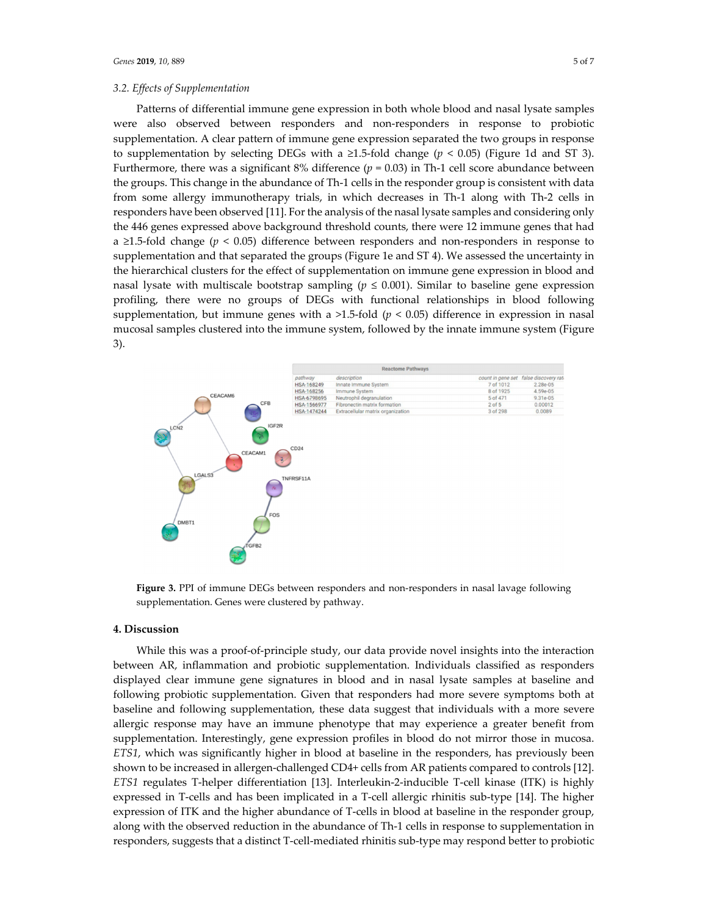#### *3.2. Effects of Supplementation*

Patterns of differential immune gene expression in both whole blood and nasal lysate samples were also observed between responders and non-responders in response to probiotic supplementation. A clear pattern of immune gene expression separated the two groups in response to supplementation by selecting DEGs with a ≥1.5-fold change ( $p < 0.05$ ) (Figure 1d and ST 3). Furthermore, there was a significant 8% difference (*p* = 0.03) in Th-1 cell score abundance between the groups. This change in the abundance of Th-1 cells in the responder group is consistent with data from some allergy immunotherapy trials, in which decreases in Th-1 along with Th-2 cells in responders have been observed [11]. For the analysis of the nasal lysate samples and considering only the 446 genes expressed above background threshold counts, there were 12 immune genes that had a  $\geq$ 1.5-fold change ( $p < 0.05$ ) difference between responders and non-responders in response to supplementation and that separated the groups (Figure 1e and ST 4). We assessed the uncertainty in the hierarchical clusters for the effect of supplementation on immune gene expression in blood and nasal lysate with multiscale bootstrap sampling ( $p \le 0.001$ ). Similar to baseline gene expression profiling, there were no groups of DEGs with functional relationships in blood following supplementation, but immune genes with a  $>1.5$ -fold ( $p < 0.05$ ) difference in expression in nasal mucosal samples clustered into the immune system, followed by the innate immune system (Figure 3).



**Figure 3.** PPI of immune DEGs between responders and non-responders in nasal lavage following supplementation. Genes were clustered by pathway.

### **4. Discussion**

While this was a proof-of-principle study, our data provide novel insights into the interaction between AR, inflammation and probiotic supplementation. Individuals classified as responders displayed clear immune gene signatures in blood and in nasal lysate samples at baseline and following probiotic supplementation. Given that responders had more severe symptoms both at baseline and following supplementation, these data suggest that individuals with a more severe allergic response may have an immune phenotype that may experience a greater benefit from supplementation. Interestingly, gene expression profiles in blood do not mirror those in mucosa. *ETS1*, which was significantly higher in blood at baseline in the responders, has previously been shown to be increased in allergen-challenged CD4+ cells from AR patients compared to controls [12]. *ETS1* regulates T-helper differentiation [13]. Interleukin-2-inducible T-cell kinase (ITK) is highly expressed in T-cells and has been implicated in a T-cell allergic rhinitis sub-type [14]. The higher expression of ITK and the higher abundance of T-cells in blood at baseline in the responder group, along with the observed reduction in the abundance of Th-1 cells in response to supplementation in responders, suggests that a distinct T-cell-mediated rhinitis sub-type may respond better to probiotic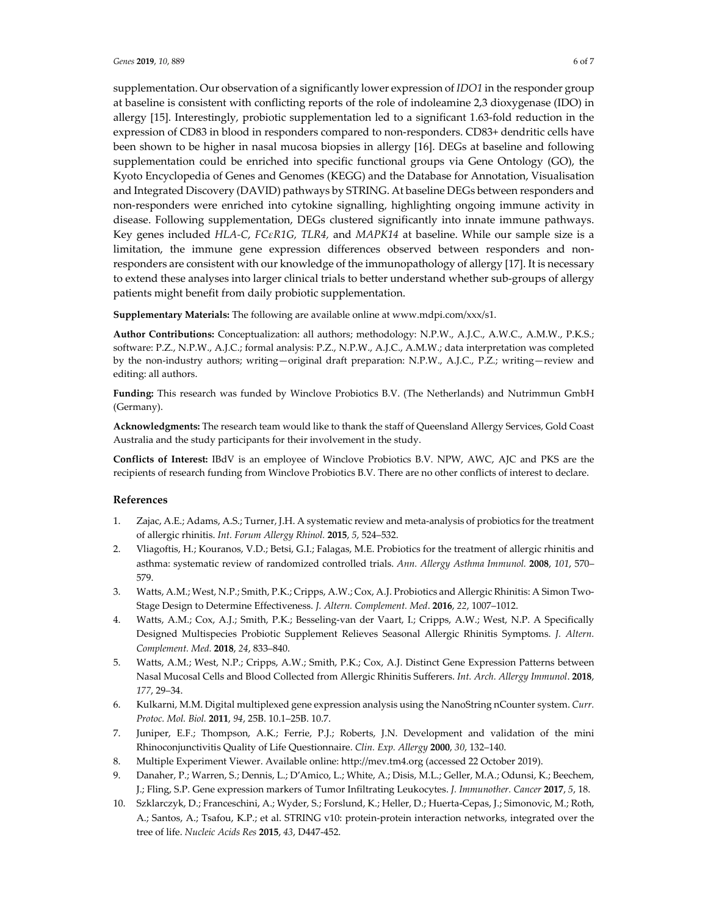supplementation. Our observation of a significantly lower expression of *IDO1* in the responder group at baseline is consistent with conflicting reports of the role of indoleamine 2,3 dioxygenase (IDO) in allergy [15]. Interestingly, probiotic supplementation led to a significant 1.63-fold reduction in the expression of CD83 in blood in responders compared to non-responders. CD83+ dendritic cells have been shown to be higher in nasal mucosa biopsies in allergy [16]. DEGs at baseline and following supplementation could be enriched into specific functional groups via Gene Ontology (GO), the Kyoto Encyclopedia of Genes and Genomes (KEGG) and the Database for Annotation, Visualisation and Integrated Discovery (DAVID) pathways by STRING. At baseline DEGs between responders and non-responders were enriched into cytokine signalling, highlighting ongoing immune activity in disease. Following supplementation, DEGs clustered significantly into innate immune pathways. Key genes included *HLA-C*, *FCεR1G, TLR4,* and *MAPK14* at baseline. While our sample size is a limitation, the immune gene expression differences observed between responders and nonresponders are consistent with our knowledge of the immunopathology of allergy [17]. It is necessary to extend these analyses into larger clinical trials to better understand whether sub-groups of allergy patients might benefit from daily probiotic supplementation.

**Supplementary Materials:** The following are available online at www.mdpi.com/xxx/s1.

**Author Contributions:** Conceptualization: all authors; methodology: N.P.W., A.J.C., A.W.C., A.M.W., P.K.S.; software: P.Z., N.P.W., A.J.C.; formal analysis: P.Z., N.P.W., A.J.C., A.M.W.; data interpretation was completed by the non-industry authors; writing—original draft preparation: N.P.W., A.J.C., P.Z.; writing—review and editing: all authors.

**Funding:** This research was funded by Winclove Probiotics B.V. (The Netherlands) and Nutrimmun GmbH (Germany).

**Acknowledgments:** The research team would like to thank the staff of Queensland Allergy Services, Gold Coast Australia and the study participants for their involvement in the study.

**Conflicts of Interest:** IBdV is an employee of Winclove Probiotics B.V. NPW, AWC, AJC and PKS are the recipients of research funding from Winclove Probiotics B.V. There are no other conflicts of interest to declare.

#### **References**

- 1. Zajac, A.E.; Adams, A.S.; Turner, J.H. A systematic review and meta-analysis of probiotics for the treatment of allergic rhinitis. *Int. Forum Allergy Rhinol.* **2015**, *5*, 524–532.
- 2. Vliagoftis, H.; Kouranos, V.D.; Betsi, G.I.; Falagas, M.E. Probiotics for the treatment of allergic rhinitis and asthma: systematic review of randomized controlled trials. *Ann. Allergy Asthma Immunol.* **2008**, *101*, 570– 579.
- 3. Watts, A.M.; West, N.P.; Smith, P.K.; Cripps, A.W.; Cox, A.J. Probiotics and Allergic Rhinitis: A Simon Two-Stage Design to Determine Effectiveness. *J. Altern. Complement. Med*. **2016**, *22*, 1007–1012.
- 4. Watts, A.M.; Cox, A.J.; Smith, P.K.; Besseling-van der Vaart, I.; Cripps, A.W.; West, N.P. A Specifically Designed Multispecies Probiotic Supplement Relieves Seasonal Allergic Rhinitis Symptoms. *J. Altern. Complement. Med.* **2018**, *24*, 833–840.
- 5. Watts, A.M.; West, N.P.; Cripps, A.W.; Smith, P.K.; Cox, A.J. Distinct Gene Expression Patterns between Nasal Mucosal Cells and Blood Collected from Allergic Rhinitis Sufferers. *Int. Arch. Allergy Immunol*. **2018**, *177*, 29–34.
- 6. Kulkarni, M.M. Digital multiplexed gene expression analysis using the NanoString nCounter system. *Curr. Protoc. Mol. Biol.* **2011**, *94*, 25B. 10.1–25B. 10.7.
- 7. Juniper, E.F.; Thompson, A.K.; Ferrie, P.J.; Roberts, J.N. Development and validation of the mini Rhinoconjunctivitis Quality of Life Questionnaire. *Clin. Exp. Allergy* **2000**, *30*, 132–140.
- 8. Multiple Experiment Viewer. Available online: http://mev.tm4.org (accessed 22 October 2019).
- 9. Danaher, P.; Warren, S.; Dennis, L.; D′Amico, L.; White, A.; Disis, M.L.; Geller, M.A.; Odunsi, K.; Beechem, J.; Fling, S.P. Gene expression markers of Tumor Infiltrating Leukocytes. *J. Immunother. Cancer* **2017**, *5*, 18.
- 10. Szklarczyk, D.; Franceschini, A.; Wyder, S.; Forslund, K.; Heller, D.; Huerta-Cepas, J.; Simonovic, M.; Roth, A.; Santos, A.; Tsafou, K.P.; et al. STRING v10: protein-protein interaction networks, integrated over the tree of life. *Nucleic Acids Res* **2015**, *43*, D447-452.